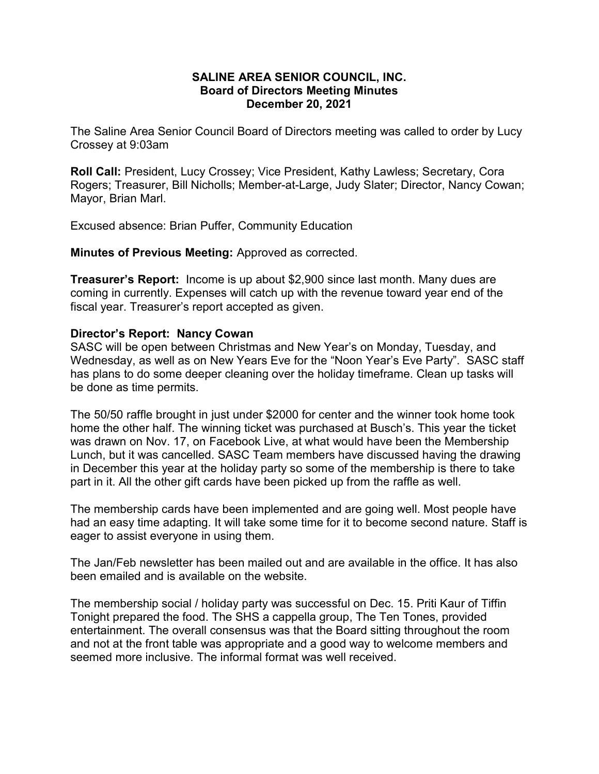## SALINE AREA SENIOR COUNCIL, INC. Board of Directors Meeting Minutes December 20, 2021

The Saline Area Senior Council Board of Directors meeting was called to order by Lucy Crossey at 9:03am

Roll Call: President, Lucy Crossey; Vice President, Kathy Lawless; Secretary, Cora Rogers; Treasurer, Bill Nicholls; Member-at-Large, Judy Slater; Director, Nancy Cowan; Mayor, Brian Marl.

Excused absence: Brian Puffer, Community Education

Minutes of Previous Meeting: Approved as corrected.

Treasurer's Report: Income is up about \$2,900 since last month. Many dues are coming in currently. Expenses will catch up with the revenue toward year end of the fiscal year. Treasurer's report accepted as given.

## Director's Report: Nancy Cowan

SASC will be open between Christmas and New Year's on Monday, Tuesday, and Wednesday, as well as on New Years Eve for the "Noon Year's Eve Party". SASC staff has plans to do some deeper cleaning over the holiday timeframe. Clean up tasks will be done as time permits.

The 50/50 raffle brought in just under \$2000 for center and the winner took home took home the other half. The winning ticket was purchased at Busch's. This year the ticket was drawn on Nov. 17, on Facebook Live, at what would have been the Membership Lunch, but it was cancelled. SASC Team members have discussed having the drawing in December this year at the holiday party so some of the membership is there to take part in it. All the other gift cards have been picked up from the raffle as well.

The membership cards have been implemented and are going well. Most people have had an easy time adapting. It will take some time for it to become second nature. Staff is eager to assist everyone in using them.

The Jan/Feb newsletter has been mailed out and are available in the office. It has also been emailed and is available on the website.

The membership social / holiday party was successful on Dec. 15. Priti Kaur of Tiffin Tonight prepared the food. The SHS a cappella group, The Ten Tones, provided entertainment. The overall consensus was that the Board sitting throughout the room and not at the front table was appropriate and a good way to welcome members and seemed more inclusive. The informal format was well received.